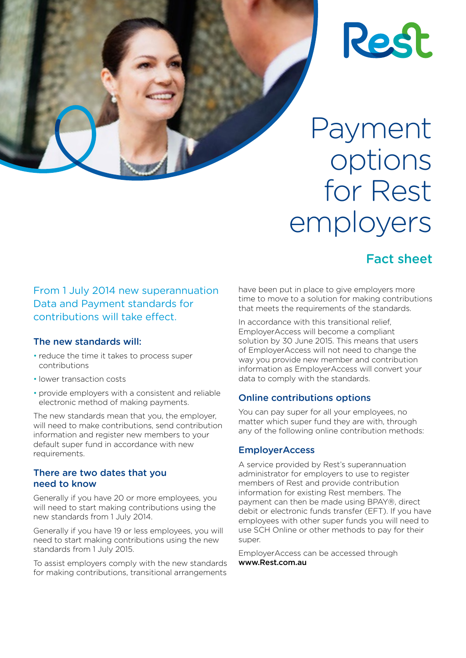

Payment options for Rest employers

## Fact sheet

From 1 July 2014 new superannuation Data and Payment standards for contributions will take effect.

#### The new standards will:

- reduce the time it takes to process super contributions
- lower transaction costs
- provide employers with a consistent and reliable electronic method of making payments.

The new standards mean that you, the employer, will need to make contributions, send contribution information and register new members to your default super fund in accordance with new requirements.

#### There are two dates that you need to know

Generally if you have 20 or more employees, you will need to start making contributions using the new standards from 1 July 2014.

Generally if you have 19 or less employees, you will need to start making contributions using the new standards from 1 July 2015.

To assist employers comply with the new standards for making contributions, transitional arrangements

have been put in place to give employers more time to move to a solution for making contributions that meets the requirements of the standards.

In accordance with this transitional relief, EmployerAccess will become a compliant solution by 30 June 2015. This means that users of EmployerAccess will not need to change the way you provide new member and contribution information as EmployerAccess will convert your data to comply with the standards.

#### Online contributions options

You can pay super for all your employees, no matter which super fund they are with, through any of the following online contribution methods:

#### **EmployerAccess**

A service provided by Rest's superannuation administrator for employers to use to register members of Rest and provide contribution information for existing Rest members. The payment can then be made using BPAY®, direct debit or electronic funds transfer (EFT). If you have employees with other super funds you will need to use SCH Online or other methods to pay for their super.

EmployerAccess can be accessed through www.Rest.com.au